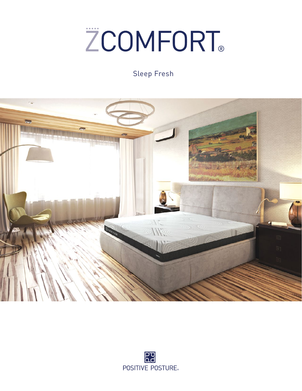# **ZCOMFORT®**

# Sleep Fresh



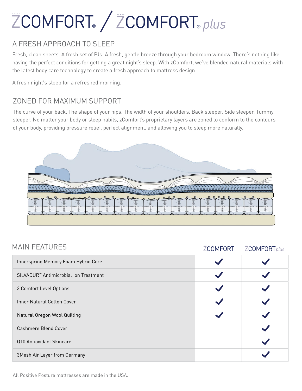# ZCOMFORT® / ZCOMFORT® plus

#### A FRESH APPROACH TO SLEEP

Fresh, clean sheets. A fresh set of PJs. A fresh, gentle breeze through your bedroom window. There's nothing like having the perfect conditions for getting a great night's sleep. With zComfort, we've blended natural materials with the latest body care technology to create a fresh approach to mattress design.

A fresh night's sleep for a refreshed morning.

#### ZONED FOR MAXIMUM SUPPORT

The curve of your back. The shape of your hips. The width of your shoulders. Back sleeper. Side sleeper. Tummy sleeper. No matter your body or sleep habits, zComfort's proprietary layers are zoned to conform to the contours of your body, providing pressure relief, perfect alignment, and allowing you to sleep more naturally.



| <b>MAIN FEATURES</b>                              | <b>ZCOMFORT</b> | <b>ZCOMFORT</b> plus |
|---------------------------------------------------|-----------------|----------------------|
| Innerspring Memory Foam Hybrid Core               |                 |                      |
| SILVADUR <sup>™</sup> Antimicrobial Ion Treatment |                 |                      |
| 3 Comfort Level Options                           |                 |                      |
| <b>Inner Natural Cotton Cover</b>                 |                 |                      |
| Natural Oregon Wool Quilting                      |                 |                      |
| Cashmere Blend Cover                              |                 |                      |
| Q10 Antioxidant Skincare                          |                 |                      |
| 3Mesh Air Layer from Germany                      |                 |                      |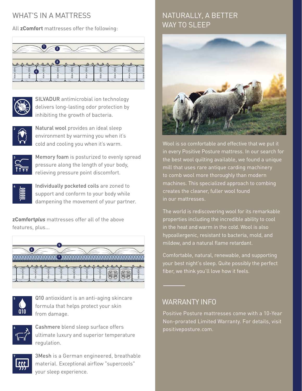### WHAT'S IN A MATTRESS

All **zComfort** mattresses offer the following:





SILVADUR antimicrobial ion technology delivers long-lasting odor protection by inhibiting the growth of bacteria.



Natural wool provides an ideal sleep environment by warming you when it's cold and cooling you when it's warm.



Memory foam is posturized to evenly spread pressure along the length of your body, relieving pressure point discomfort.



Individually pocketed coils are zoned to support and conform to your body while dampening the movement of your partner.

**zComfort***plus* mattresses offer all of the above features, plus...





Q10 antioxidant is an anti-aging skincare formula that helps protect your skin from damage.



Cashmere blend sleep surface offers ultimate luxury and superior temperature regulation.



3Mesh is a German engineered, breathable material. Exceptional airflow "supercools" your sleep experience.

## NATURALLY, A BETTER WAY TO SI FFP



Wool is so comfortable and effective that we put it in every Positive Posture mattress. In our search for the best wool quilting available, we found a unique mill that uses rare antique carding machinery to comb wool more thoroughly than modern machines. This specialized approach to combing creates the cleaner, fuller wool found in our mattresses.

The world is rediscovering wool for its remarkable properties including the incredible ability to cool in the heat and warm in the cold. Wool is also hypoallergenic, resistant to bacteria, mold, and mildew, and a natural flame retardant.

Comfortable, natural, renewable, and supporting your best night's sleep. Quite possibly the perfect fiber, we think you'll love how it feels.

#### WARRANTY INFO

Positive Posture mattresses come with a 10-Year Non-prorated Limited Warranty. For details, visit positiveposture.com.